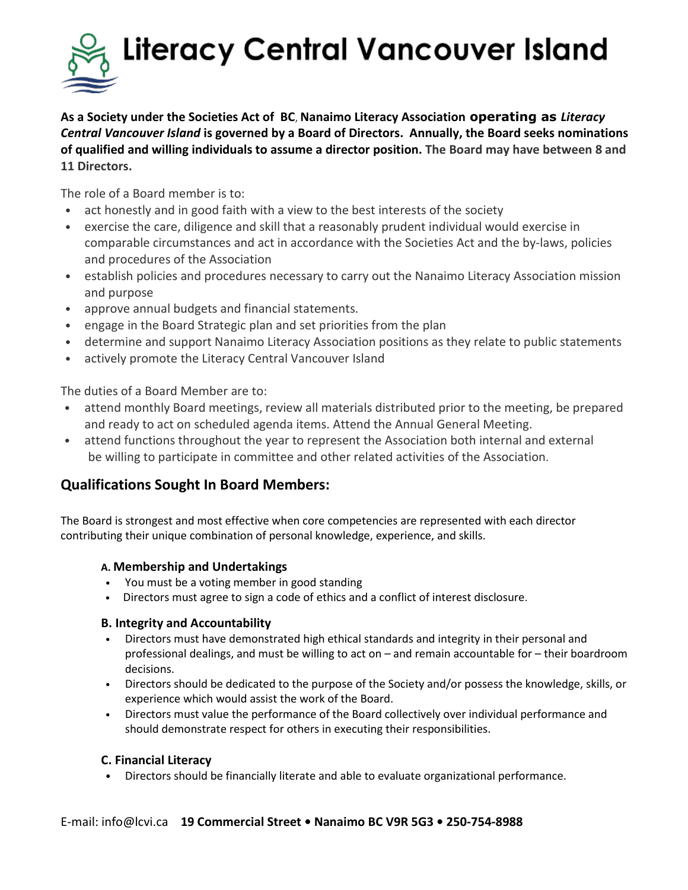

**As a Society under the Societies Act of BC**, **Nanaimo Literacy Association operating as** *Literacy Central Vancouver Island* **is governed by a Board of Directors. Annually, the Board seeks nominations of qualified and willing individuals to assume a director position. The Board may have between 8 and 11 Directors.**

The role of a Board member is to:

- act honestly and in good faith with a view to the best interests of the society
- exercise the care, diligence and skill that a reasonably prudent individual would exercise in comparable circumstances and act in accordance with the Societies Act and the by-laws, policies and procedures of the Association
- establish policies and procedures necessary to carry out the Nanaimo Literacy Association mission and purpose
- approve annual budgets and financial statements.
- engage in the Board Strategic plan and set priorities from the plan
- determine and support Nanaimo Literacy Association positions as they relate to public statements
- actively promote the Literacy Central Vancouver Island

The duties of a Board Member are to:

- attend monthly Board meetings, review all materials distributed prior to the meeting, be prepared and ready to act on scheduled agenda items. Attend the Annual General Meeting.
- attend functions throughout the year to represent the Association both internal and external be willing to participate in committee and other related activities of the Association.

### **Qualifications Sought In Board Members:**

The Board is strongest and most effective when core competencies are represented with each director contributing their unique combination of personal knowledge, experience, and skills.

#### **A. Membership and Undertakings**

- You must be a voting member in good standing
- Directors must agree to sign a code of ethics and a conflict of interest disclosure.

#### **B. Integrity and Accountability**

- Directors must have demonstrated high ethical standards and integrity in their personal and professional dealings, and must be willing to act on – and remain accountable for – their boardroom decisions.
- Directors should be dedicated to the purpose of the Society and/or possess the knowledge, skills, or experience which would assist the work of the Board.
- Directors must value the performance of the Board collectively over individual performance and should demonstrate respect for others in executing their responsibilities.

#### **C. Financial Literacy**

• Directors should be financially literate and able to evaluate organizational performance.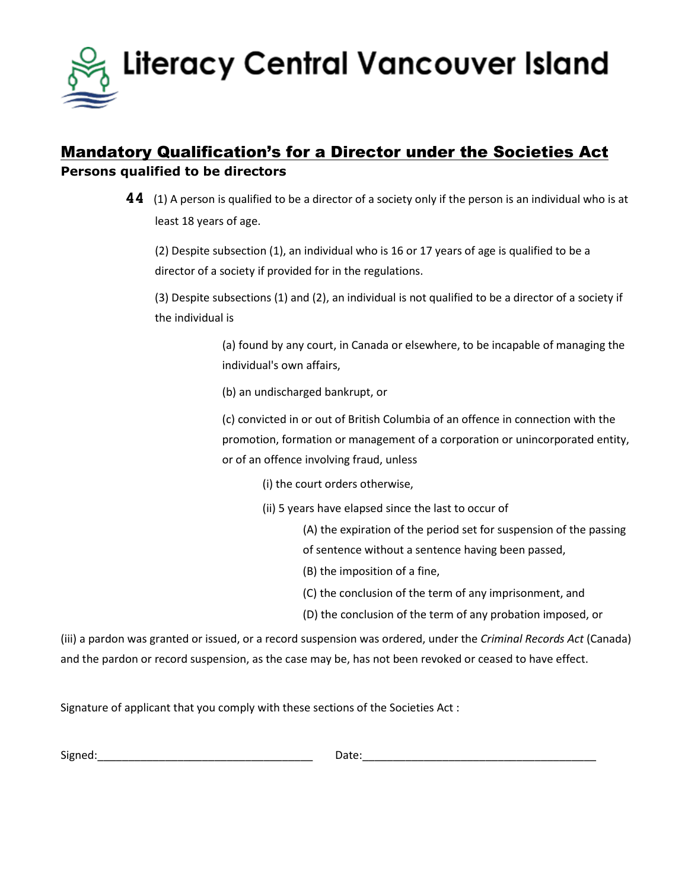

## Mandatory Qualification's for a Director under the Societies Act **Persons qualified to be directors**

**44** (1) A person is qualified to be a director of a society only if the person is an individual who is at least 18 years of age.

(2) Despite subsection (1), an individual who is 16 or 17 years of age is qualified to be a director of a society if provided for in the regulations.

(3) Despite subsections (1) and (2), an individual is not qualified to be a director of a society if the individual is

> (a) found by any court, in Canada or elsewhere, to be incapable of managing the individual's own affairs,

(b) an undischarged bankrupt, or

(c) convicted in or out of British Columbia of an offence in connection with the promotion, formation or management of a corporation or unincorporated entity, or of an offence involving fraud, unless

(i) the court orders otherwise,

(ii) 5 years have elapsed since the last to occur of

(A) the expiration of the period set for suspension of the passing of sentence without a sentence having been passed,

- (B) the imposition of a fine,
- (C) the conclusion of the term of any imprisonment, and
- (D) the conclusion of the term of any probation imposed, or

(iii) a pardon was granted or issued, or a record suspension was ordered, under the *Criminal Records Act* (Canada) and the pardon or record suspension, as the case may be, has not been revoked or ceased to have effect.

Signature of applicant that you comply with these sections of the Societies Act :